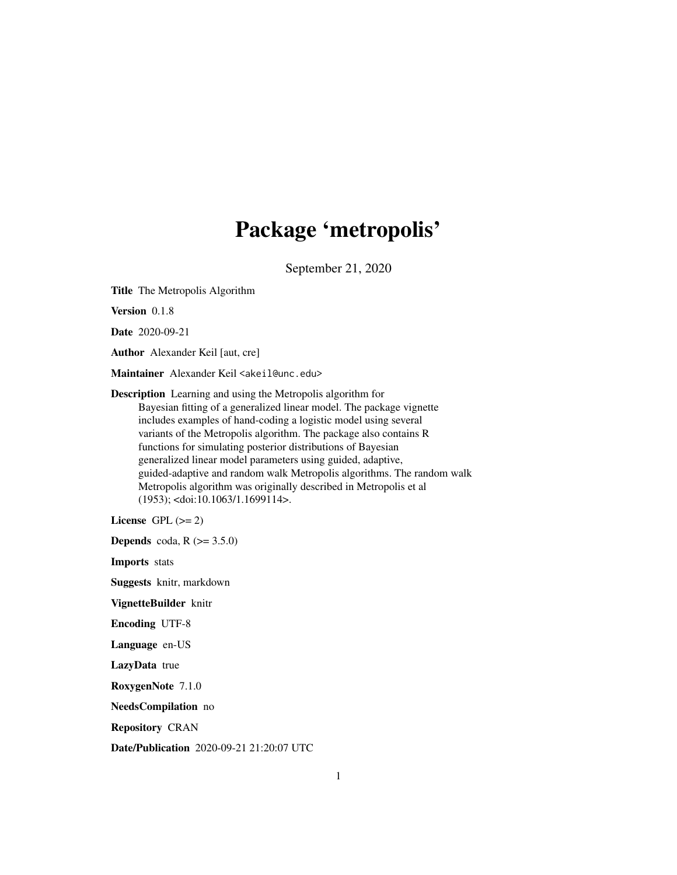# Package 'metropolis'

September 21, 2020

Title The Metropolis Algorithm

Version 0.1.8

Date 2020-09-21

Author Alexander Keil [aut, cre]

Maintainer Alexander Keil <akeil@unc.edu>

Description Learning and using the Metropolis algorithm for Bayesian fitting of a generalized linear model. The package vignette includes examples of hand-coding a logistic model using several variants of the Metropolis algorithm. The package also contains R functions for simulating posterior distributions of Bayesian generalized linear model parameters using guided, adaptive, guided-adaptive and random walk Metropolis algorithms. The random walk Metropolis algorithm was originally described in Metropolis et al (1953); <doi:10.1063/1.1699114>.

License GPL  $(>= 2)$ 

**Depends** coda,  $R$  ( $> = 3.5.0$ )

Imports stats

Suggests knitr, markdown

VignetteBuilder knitr

Encoding UTF-8

Language en-US

LazyData true

RoxygenNote 7.1.0

NeedsCompilation no

Repository CRAN

Date/Publication 2020-09-21 21:20:07 UTC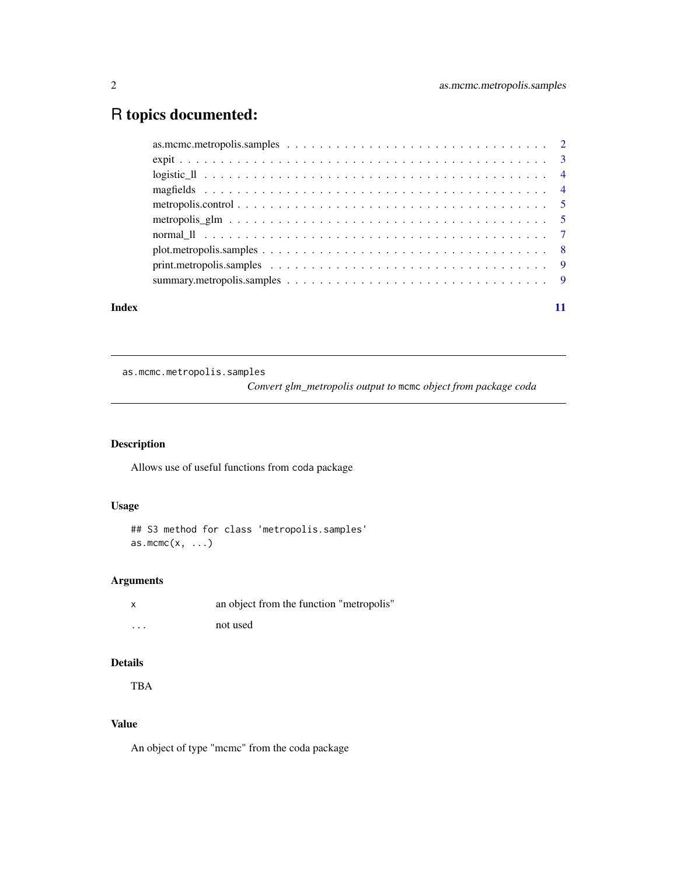# <span id="page-1-0"></span>R topics documented:

| Index |  |
|-------|--|

as.mcmc.metropolis.samples

*Convert glm\_metropolis output to* mcmc *object from package coda*

# Description

Allows use of useful functions from coda package

# Usage

```
## S3 method for class 'metropolis.samples'
as.mcmc(x, \ldots)
```
# Arguments

| X        | an object from the function "metropolis" |  |
|----------|------------------------------------------|--|
| $\cdots$ | not used                                 |  |

# Details

TBA

# Value

An object of type "mcmc" from the coda package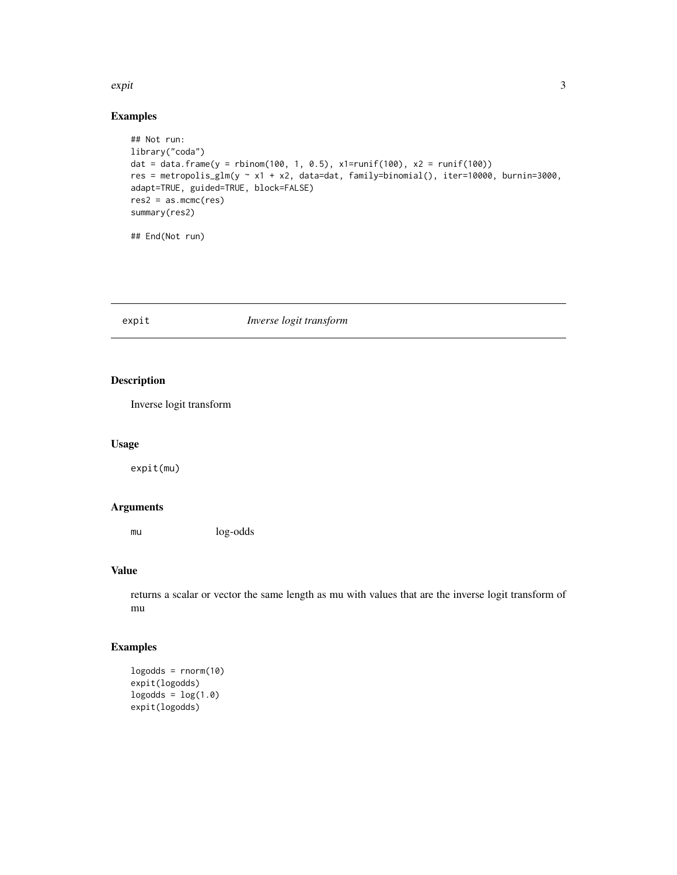#### <span id="page-2-0"></span>expit 3

# Examples

```
## Not run:
library("coda")
dat = data.frame(y = rbinom(100, 1, 0.5), x1=runif(100), x2 = runif(100))
res = metropolis_glm(y ~ x1 + x2, data=dat, family=binomial(), iter=10000, burnin=3000,
adapt=TRUE, guided=TRUE, block=FALSE)
res2 = as.mcmc(res)summary(res2)
## End(Not run)
```
#### expit *Inverse logit transform*

# Description

Inverse logit transform

#### Usage

expit(mu)

#### Arguments

mu log-odds

# Value

returns a scalar or vector the same length as mu with values that are the inverse logit transform of mu

# Examples

```
logodds = rnorm(10)expit(logodds)
logodds = log(1.0)expit(logodds)
```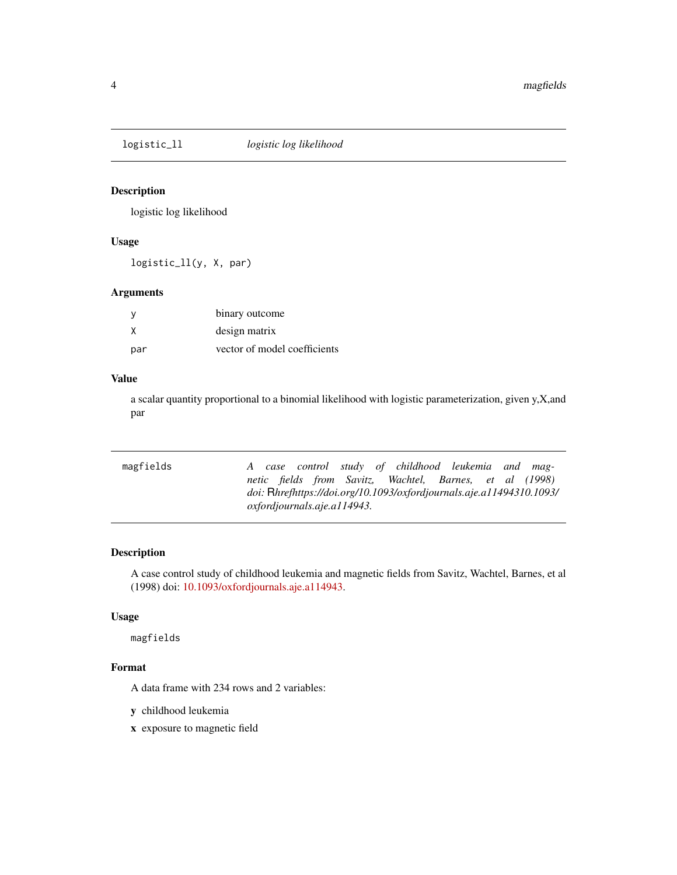<span id="page-3-0"></span>

# Description

logistic log likelihood

# Usage

logistic\_ll(y, X, par)

#### Arguments

|     | binary outcome               |
|-----|------------------------------|
| X   | design matrix                |
| par | vector of model coefficients |

# Value

a scalar quantity proportional to a binomial likelihood with logistic parameterization, given y,X,and par

| <i>oxfordiournals.aje.al14943.</i> |                                                                                                                                                                                        |
|------------------------------------|----------------------------------------------------------------------------------------------------------------------------------------------------------------------------------------|
|                                    | A case control study of childhood leukemia and mag-<br>netic fields from Savitz, Wachtel, Barnes, et al (1998)<br>doi: Rhrefhttps://doi.org/10.1093/oxfordjournals.aje.a11494310.1093/ |

# Description

A case control study of childhood leukemia and magnetic fields from Savitz, Wachtel, Barnes, et al (1998) doi: [10.1093/oxfordjournals.aje.a114943.](https://doi.org/10.1093/oxfordjournals.aje.a114943)

# Usage

magfields

# Format

A data frame with 234 rows and 2 variables:

y childhood leukemia

x exposure to magnetic field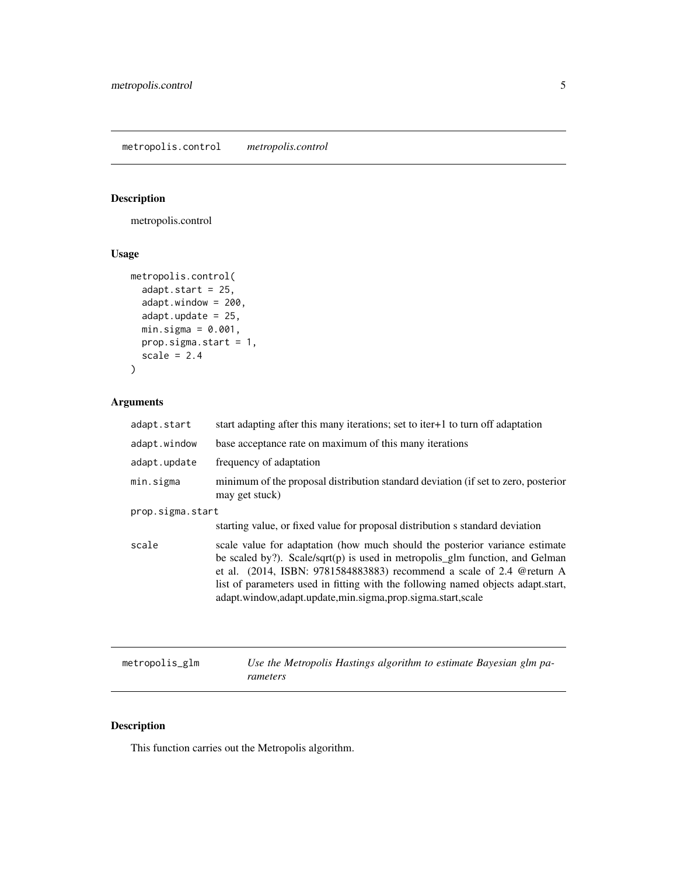# <span id="page-4-0"></span>Description

metropolis.control

# Usage

```
metropolis.control(
  adapt.start = 25,
  adapt.window = 200,
  adapt.update = 25,
 min.sizema = 0.001,
 prop.sigma.start = 1,
  scale = 2.4)
```
# Arguments

| adapt.start      | start adapting after this many iterations; set to iter+1 to turn off adaptation                                                                                                                                                                                                                                                                                                        |  |
|------------------|----------------------------------------------------------------------------------------------------------------------------------------------------------------------------------------------------------------------------------------------------------------------------------------------------------------------------------------------------------------------------------------|--|
| adapt.window     | base acceptance rate on maximum of this many iterations                                                                                                                                                                                                                                                                                                                                |  |
| adapt.update     | frequency of adaptation                                                                                                                                                                                                                                                                                                                                                                |  |
| min.sigma        | minimum of the proposal distribution standard deviation (if set to zero, posterior<br>may get stuck)                                                                                                                                                                                                                                                                                   |  |
| prop.sigma.start |                                                                                                                                                                                                                                                                                                                                                                                        |  |
|                  | starting value, or fixed value for proposal distribution s standard deviation                                                                                                                                                                                                                                                                                                          |  |
| scale            | scale value for adaptation (how much should the posterior variance estimate<br>be scaled by?). Scale/sqrt(p) is used in metropolis_glm function, and Gelman<br>et al. (2014, ISBN: 9781584883883) recommend a scale of 2.4 @return A<br>list of parameters used in fitting with the following named objects adapt.start,<br>adapt.window,adapt.update,min.sigma,prop.sigma.start,scale |  |
|                  |                                                                                                                                                                                                                                                                                                                                                                                        |  |

metropolis\_glm *Use the Metropolis Hastings algorithm to estimate Bayesian glm parameters*

# Description

This function carries out the Metropolis algorithm.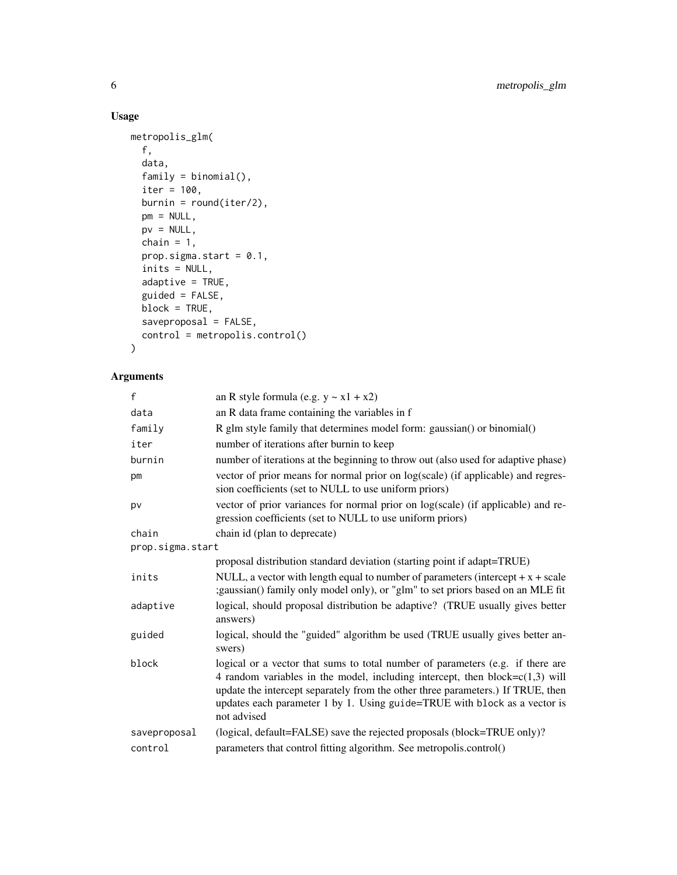# Usage

```
metropolis_glm(
 f,
 data,
 family = binomial(),
 iter = 100,
 burnin = round(iter/2),
 pm = NULL,pv = NULL,chain = 1,prop.sigma.start = 0.1,
  inits = NULL,
 adaptive = TRUE,guided = FALSE,
 block = TRUE,
 saveproposal = FALSE,
 control = metropolis.control()
\mathcal{L}
```
# Arguments

| $\mathsf{f}$     | an R style formula (e.g. $y \sim x1 + x2$ )                                                                                                                                                                                                                                                                                                      |
|------------------|--------------------------------------------------------------------------------------------------------------------------------------------------------------------------------------------------------------------------------------------------------------------------------------------------------------------------------------------------|
| data             | an R data frame containing the variables in f                                                                                                                                                                                                                                                                                                    |
| family           | R glm style family that determines model form: gaussian() or binomial()                                                                                                                                                                                                                                                                          |
| iter             | number of iterations after burnin to keep                                                                                                                                                                                                                                                                                                        |
| burnin           | number of iterations at the beginning to throw out (also used for adaptive phase)                                                                                                                                                                                                                                                                |
| pm               | vector of prior means for normal prior on log(scale) (if applicable) and regres-<br>sion coefficients (set to NULL to use uniform priors)                                                                                                                                                                                                        |
| pv               | vector of prior variances for normal prior on log(scale) (if applicable) and re-<br>gression coefficients (set to NULL to use uniform priors)                                                                                                                                                                                                    |
| chain            | chain id (plan to deprecate)                                                                                                                                                                                                                                                                                                                     |
| prop.sigma.start |                                                                                                                                                                                                                                                                                                                                                  |
|                  | proposal distribution standard deviation (starting point if adapt=TRUE)                                                                                                                                                                                                                                                                          |
| inits            | NULL, a vector with length equal to number of parameters (intercept $+x + scale$ )<br>;gaussian() family only model only), or "glm" to set priors based on an MLE fit                                                                                                                                                                            |
| adaptive         | logical, should proposal distribution be adaptive? (TRUE usually gives better<br>answers)                                                                                                                                                                                                                                                        |
| guided           | logical, should the "guided" algorithm be used (TRUE usually gives better an-<br>swers)                                                                                                                                                                                                                                                          |
| block            | logical or a vector that sums to total number of parameters (e.g. if there are<br>4 random variables in the model, including intercept, then block= $c(1,3)$ will<br>update the intercept separately from the other three parameters.) If TRUE, then<br>updates each parameter 1 by 1. Using guide=TRUE with block as a vector is<br>not advised |
| saveproposal     | (logical, default=FALSE) save the rejected proposals (block=TRUE only)?                                                                                                                                                                                                                                                                          |
| control          | parameters that control fitting algorithm. See metropolis.control()                                                                                                                                                                                                                                                                              |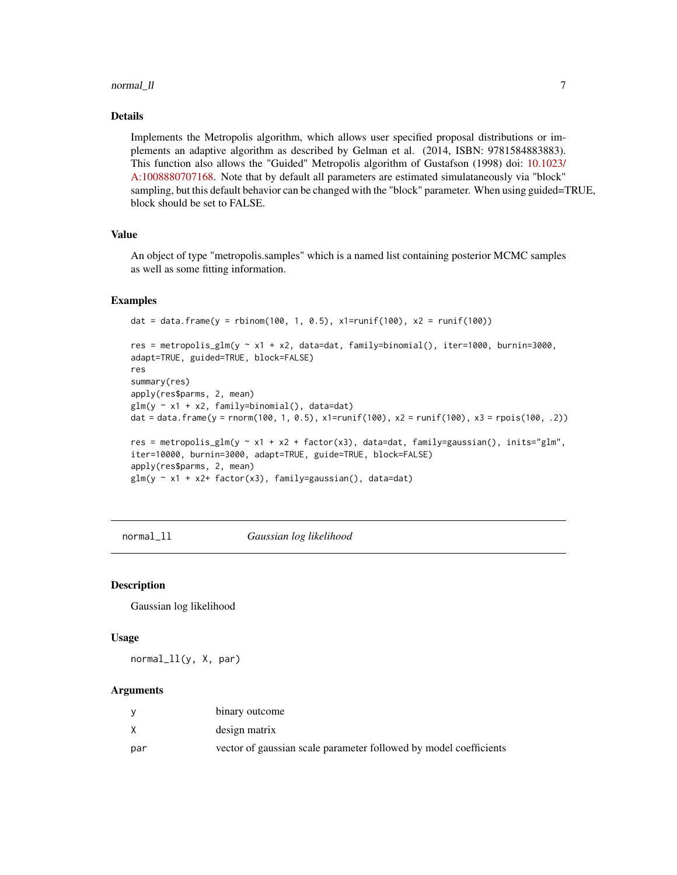#### <span id="page-6-0"></span>normal\_ll  $\sim$  7  $\sim$  7  $\sim$  7  $\sim$  7  $\sim$  7  $\sim$  7  $\sim$  7  $\sim$  7  $\sim$  7  $\sim$  7  $\sim$  7  $\sim$  7  $\sim$  7  $\sim$  7  $\sim$  7  $\sim$  7  $\sim$  7  $\sim$  7  $\sim$  7  $\sim$  7  $\sim$  7  $\sim$  7  $\sim$  7  $\sim$  7  $\sim$  7  $\sim$  7  $\sim$  7  $\sim$  7  $\sim$  7  $\sim$  7  $\$

#### Details

Implements the Metropolis algorithm, which allows user specified proposal distributions or implements an adaptive algorithm as described by Gelman et al. (2014, ISBN: 9781584883883). This function also allows the "Guided" Metropolis algorithm of Gustafson (1998) doi: [10.1023/](https://doi.org/10.1023/A:1008880707168) [A:1008880707168.](https://doi.org/10.1023/A:1008880707168) Note that by default all parameters are estimated simulataneously via "block" sampling, but this default behavior can be changed with the "block" parameter. When using guided=TRUE, block should be set to FALSE.

#### Value

An object of type "metropolis.samples" which is a named list containing posterior MCMC samples as well as some fitting information.

#### Examples

```
dat = data.frame(y = rbinom(100, 1, 0.5), x1=runif(100), x2 = runif(100))
res = metropolis_glm(y ~ x1 + x2, data=dat, family=binomial(), iter=1000, burnin=3000,
adapt=TRUE, guided=TRUE, block=FALSE)
res
summary(res)
apply(res$parms, 2, mean)
glm(y \sim x1 + x2, family=binomial(), data=dat)dat = data.frame(y = rnorm(100, 1, 0.5), x1=runif(100), x2 = runif(100), x3 = rpois(100, .2))
res = metropolis_glm(y ~ x1 + x2 + factor(x3), data=dat, family=gaussian(), inits="glm",
iter=10000, burnin=3000, adapt=TRUE, guide=TRUE, block=FALSE)
apply(res$parms, 2, mean)
glm(y \sim x1 + x2 + factor(x3), family = gaussian(), data = dat)
```
normal\_ll *Gaussian log likelihood*

#### Description

Gaussian log likelihood

# Usage

normal\_ll(y, X, par)

#### Arguments

|     | binary outcome                                                    |
|-----|-------------------------------------------------------------------|
|     | design matrix                                                     |
| par | vector of gaussian scale parameter followed by model coefficients |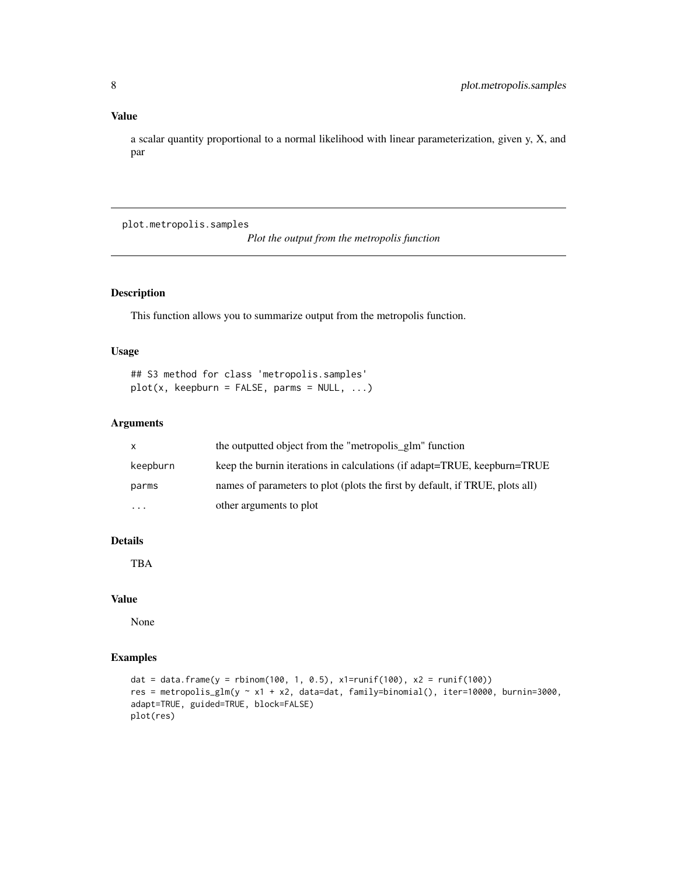#### <span id="page-7-0"></span>Value

a scalar quantity proportional to a normal likelihood with linear parameterization, given y, X, and par

plot.metropolis.samples

*Plot the output from the metropolis function*

# Description

This function allows you to summarize output from the metropolis function.

# Usage

## S3 method for class 'metropolis.samples'  $plot(x, keepburn = FALSE, parms = NULL, ...)$ 

#### Arguments

| X        | the outputted object from the "metropolis_glm" function                      |
|----------|------------------------------------------------------------------------------|
| keepburn | keep the burnin iterations in calculations (if adapt=TRUE, keepburn=TRUE     |
| parms    | names of parameters to plot (plots the first by default, if TRUE, plots all) |
| $\cdots$ | other arguments to plot                                                      |

# Details

TBA

# Value

None

# Examples

```
dat = data.frame(y = rbinom(100, 1, 0.5), x1=runif(100), x2 = runif(100))
res = metropolis_glm(y ~ x1 + x2, data=dat, family=binomial(), iter=10000, burnin=3000,
adapt=TRUE, guided=TRUE, block=FALSE)
plot(res)
```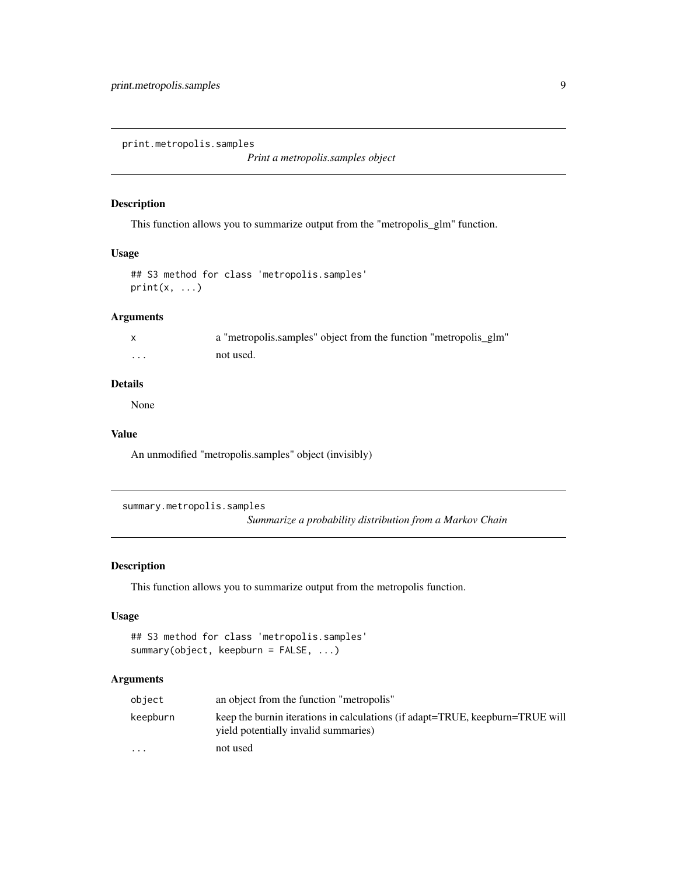<span id="page-8-0"></span>print.metropolis.samples

*Print a metropolis.samples object*

#### Description

This function allows you to summarize output from the "metropolis\_glm" function.

#### Usage

```
## S3 method for class 'metropolis.samples'
print(x, \ldots)
```
# Arguments

|          | a "metropolis.samples" object from the function "metropolis_glm" |  |
|----------|------------------------------------------------------------------|--|
| $\cdots$ | not used.                                                        |  |

# Details

None

#### Value

An unmodified "metropolis.samples" object (invisibly)

```
summary.metropolis.samples
```
*Summarize a probability distribution from a Markov Chain*

## Description

This function allows you to summarize output from the metropolis function.

# Usage

```
## S3 method for class 'metropolis.samples'
summary(object, keepburn = FALSE, ...)
```
# Arguments

| object                  | an object from the function "metropolis"                                                                              |
|-------------------------|-----------------------------------------------------------------------------------------------------------------------|
| keepburn                | keep the burnin iterations in calculations (if adapt=TRUE, keepburn=TRUE will<br>yield potentially invalid summaries) |
| $\cdot$ $\cdot$ $\cdot$ | not used                                                                                                              |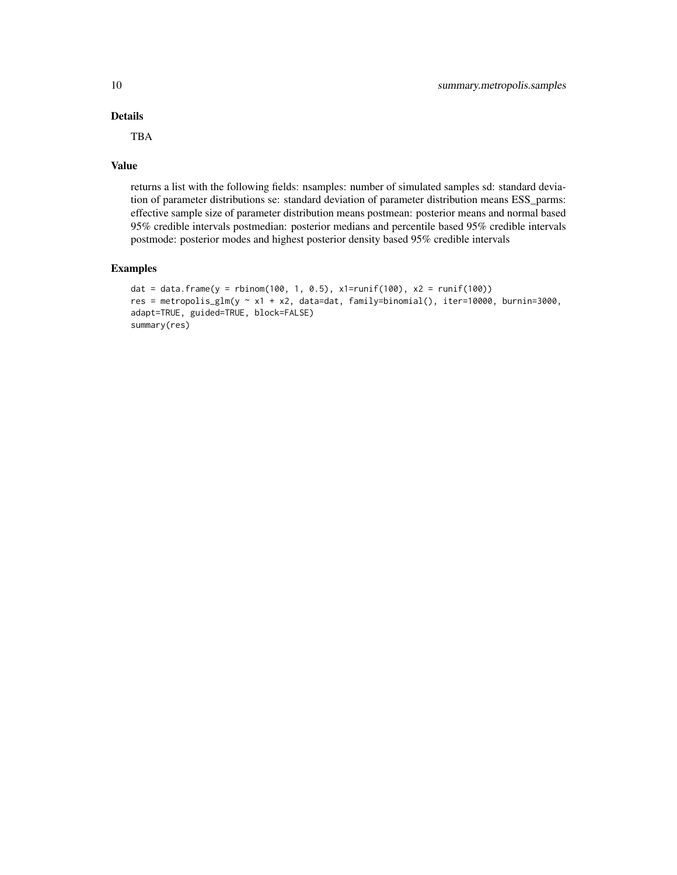# Details

TBA

#### Value

returns a list with the following fields: nsamples: number of simulated samples sd: standard deviation of parameter distributions se: standard deviation of parameter distribution means ESS\_parms: effective sample size of parameter distribution means postmean: posterior means and normal based 95% credible intervals postmedian: posterior medians and percentile based 95% credible intervals postmode: posterior modes and highest posterior density based 95% credible intervals

# Examples

```
dat = data.frame(y = rbinom(100, 1, 0.5), x1=runif(100), x2 = runif(100))
res = metropolis_glm(y ~ x1 + x2, data=dat, family=binomial(), iter=10000, burnin=3000,
adapt=TRUE, guided=TRUE, block=FALSE)
summary(res)
```